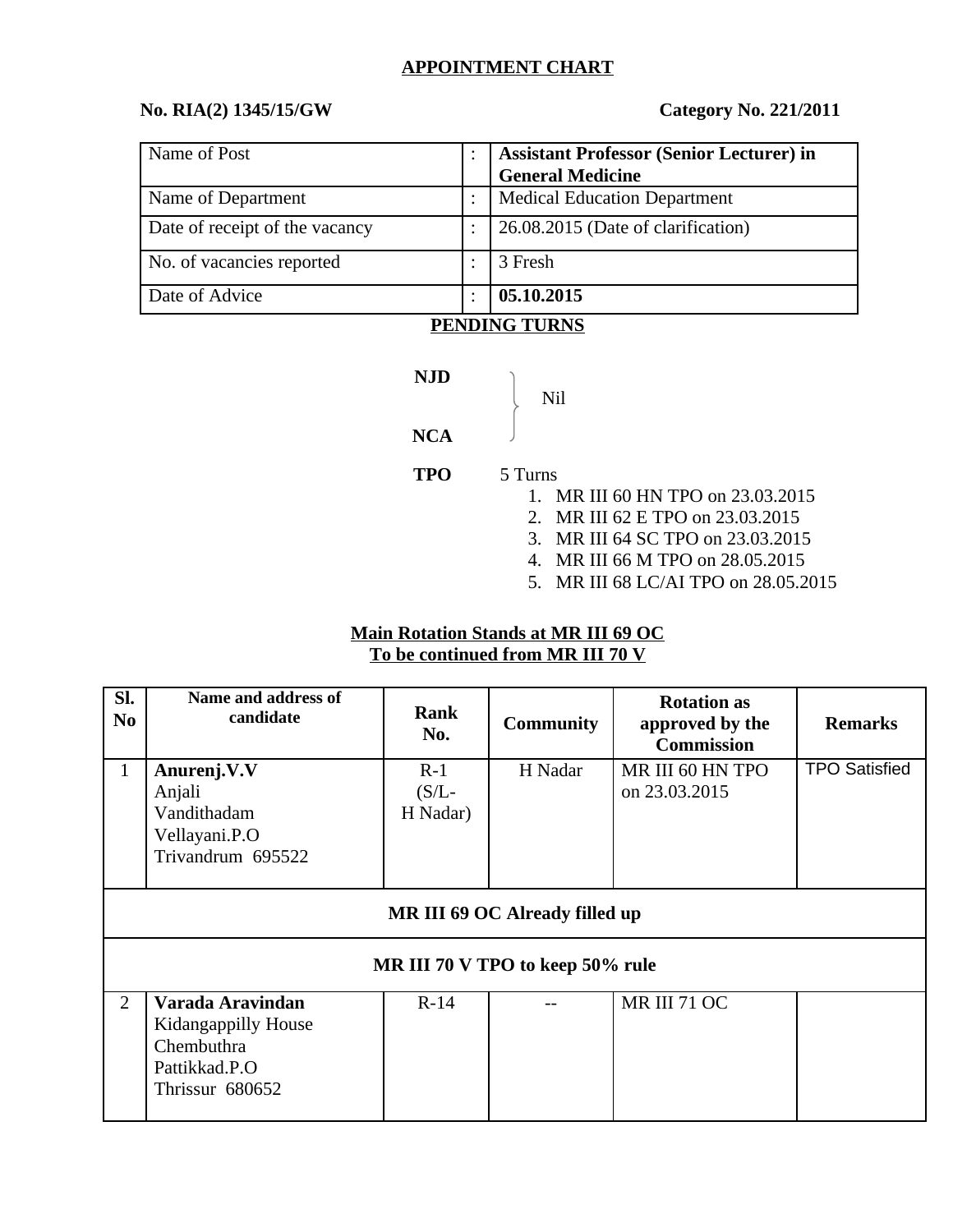#### **APPOINTMENT CHART**

## **No. RIA(2) 1345/15/GW Category No. 221/2011**

| Name of Post                   | <b>Assistant Professor (Senior Lecturer) in</b> |  |
|--------------------------------|-------------------------------------------------|--|
|                                | <b>General Medicine</b>                         |  |
| Name of Department             | <b>Medical Education Department</b>             |  |
| Date of receipt of the vacancy | 26.08.2015 (Date of clarification)              |  |
| No. of vacancies reported      | 3 Fresh                                         |  |
| Date of Advice                 | 05.10.2015                                      |  |

### **PENDING TURNS**

**NJD** Nil **NCA TPO** 5 Turns 1. MR III 60 HN TPO on 23.03.2015

- 2. MR III 62 E TPO on 23.03.2015
- 3. MR III 64 SC TPO on 23.03.2015
- 4. MR III 66 M TPO on 28.05.2015
- 5. MR III 68 LC/AI TPO on 28.05.2015

### **Main Rotation Stands at MR III 69 OC To be continued from MR III 70 V**

| SI.<br>N <sub>0</sub>                 | Name and address of<br>candidate                                                          | Rank<br>No.                  | <b>Community</b> | <b>Rotation as</b><br>approved by the<br><b>Commission</b> | <b>Remarks</b>       |  |
|---------------------------------------|-------------------------------------------------------------------------------------------|------------------------------|------------------|------------------------------------------------------------|----------------------|--|
| $\mathbf{1}$                          | Anurenj.V.V<br>Anjali<br>Vandithadam<br>Vellayani.P.O<br>Trivandrum 695522                | $R-1$<br>$(S/L-$<br>H Nadar) | H Nadar          | MR III 60 HN TPO<br>on 23.03.2015                          | <b>TPO Satisfied</b> |  |
| <b>MR III 69 OC Already filled up</b> |                                                                                           |                              |                  |                                                            |                      |  |
| MR III 70 V TPO to keep 50% rule      |                                                                                           |                              |                  |                                                            |                      |  |
| $\overline{2}$                        | Varada Aravindan<br>Kidangappilly House<br>Chembuthra<br>Pattikkad.P.O<br>Thrissur 680652 | $R-14$                       |                  | <b>MR III 71 OC</b>                                        |                      |  |